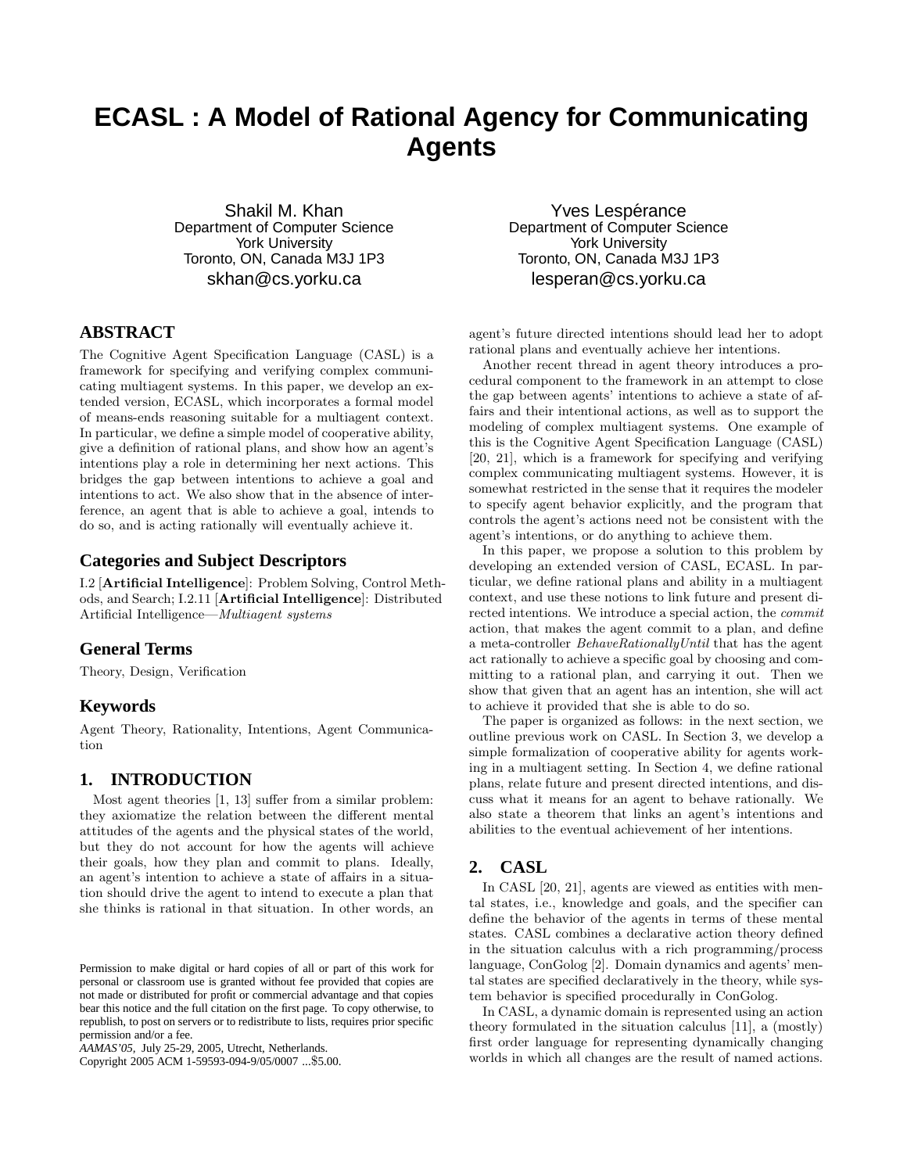# **ECASL : A Model of Rational Agency for Communicating Agents**

Shakil M. Khan Department of Computer Science York University Toronto, ON, Canada M3J 1P3 skhan@cs.yorku.ca

## **ABSTRACT**

The Cognitive Agent Specification Language (CASL) is a framework for specifying and verifying complex communicating multiagent systems. In this paper, we develop an extended version, ECASL, which incorporates a formal model of means-ends reasoning suitable for a multiagent context. In particular, we define a simple model of cooperative ability, give a definition of rational plans, and show how an agent's intentions play a role in determining her next actions. This bridges the gap between intentions to achieve a goal and intentions to act. We also show that in the absence of interference, an agent that is able to achieve a goal, intends to do so, and is acting rationally will eventually achieve it.

#### **Categories and Subject Descriptors**

I.2 [Artificial Intelligence]: Problem Solving, Control Methods, and Search; I.2.11 [Artificial Intelligence]: Distributed Artificial Intelligence—Multiagent systems

#### **General Terms**

Theory, Design, Verification

#### **Keywords**

Agent Theory, Rationality, Intentions, Agent Communication

## **1. INTRODUCTION**

Most agent theories [1, 13] suffer from a similar problem: they axiomatize the relation between the different mental attitudes of the agents and the physical states of the world, but they do not account for how the agents will achieve their goals, how they plan and commit to plans. Ideally, an agent's intention to achieve a state of affairs in a situation should drive the agent to intend to execute a plan that she thinks is rational in that situation. In other words, an

Copyright 2005 ACM 1-59593-094-9/05/0007 ...\$5.00.

**Yves Lespérance** Department of Computer Science York University Toronto, ON, Canada M3J 1P3 lesperan@cs.yorku.ca

agent's future directed intentions should lead her to adopt rational plans and eventually achieve her intentions.

Another recent thread in agent theory introduces a procedural component to the framework in an attempt to close the gap between agents' intentions to achieve a state of affairs and their intentional actions, as well as to support the modeling of complex multiagent systems. One example of this is the Cognitive Agent Specification Language (CASL) [20, 21], which is a framework for specifying and verifying complex communicating multiagent systems. However, it is somewhat restricted in the sense that it requires the modeler to specify agent behavior explicitly, and the program that controls the agent's actions need not be consistent with the agent's intentions, or do anything to achieve them.

In this paper, we propose a solution to this problem by developing an extended version of CASL, ECASL. In particular, we define rational plans and ability in a multiagent context, and use these notions to link future and present directed intentions. We introduce a special action, the commit action, that makes the agent commit to a plan, and define a meta-controller BehaveRationallyUntil that has the agent act rationally to achieve a specific goal by choosing and committing to a rational plan, and carrying it out. Then we show that given that an agent has an intention, she will act to achieve it provided that she is able to do so.

The paper is organized as follows: in the next section, we outline previous work on CASL. In Section 3, we develop a simple formalization of cooperative ability for agents working in a multiagent setting. In Section 4, we define rational plans, relate future and present directed intentions, and discuss what it means for an agent to behave rationally. We also state a theorem that links an agent's intentions and abilities to the eventual achievement of her intentions.

## **2. CASL**

In CASL [20, 21], agents are viewed as entities with mental states, i.e., knowledge and goals, and the specifier can define the behavior of the agents in terms of these mental states. CASL combines a declarative action theory defined in the situation calculus with a rich programming/process language, ConGolog [2]. Domain dynamics and agents' mental states are specified declaratively in the theory, while system behavior is specified procedurally in ConGolog.

In CASL, a dynamic domain is represented using an action theory formulated in the situation calculus [11], a (mostly) first order language for representing dynamically changing worlds in which all changes are the result of named actions.

Permission to make digital or hard copies of all or part of this work for personal or classroom use is granted without fee provided that copies are not made or distributed for profit or commercial advantage and that copies bear this notice and the full citation on the first page. To copy otherwise, to republish, to post on servers or to redistribute to lists, requires prior specific permission and/or a fee.

*AAMAS'05,* July 25-29, 2005, Utrecht, Netherlands.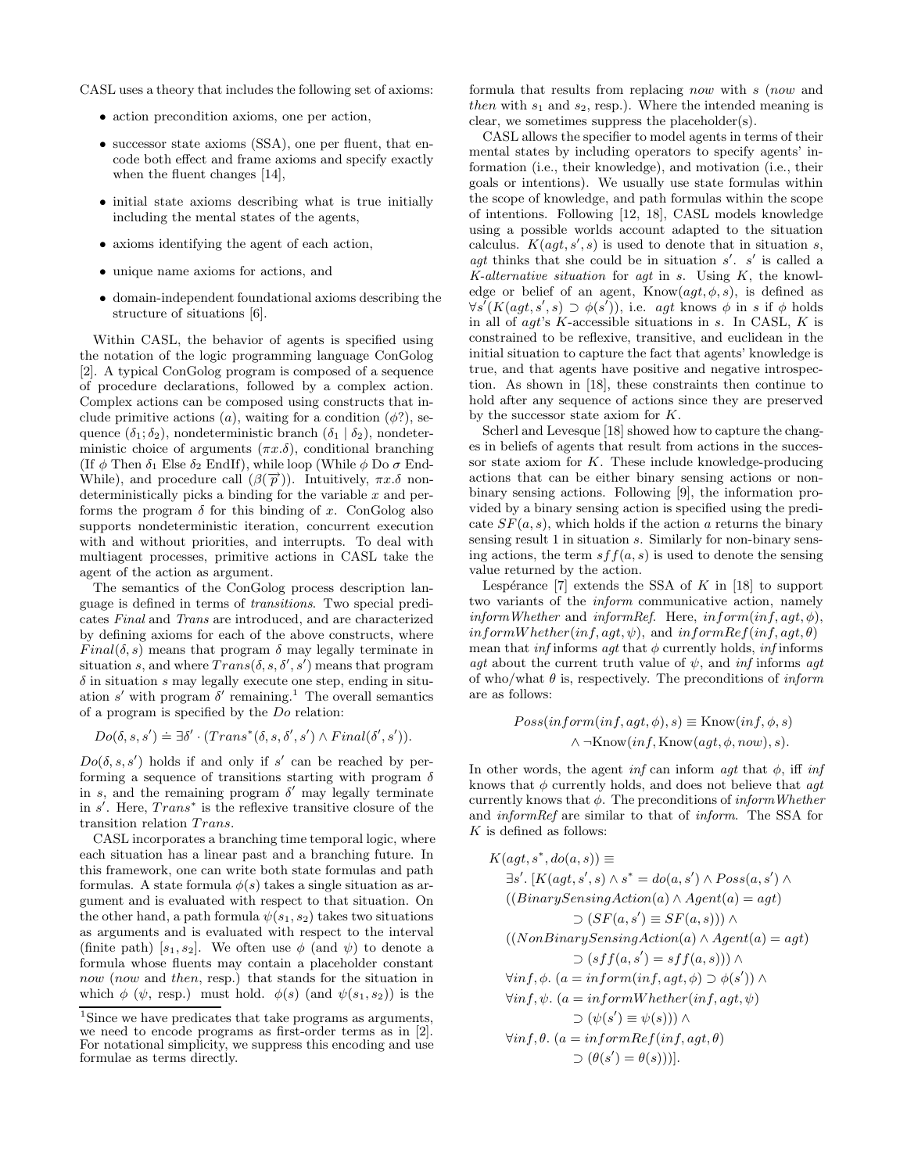CASL uses a theory that includes the following set of axioms:

- action precondition axioms, one per action,
- successor state axioms (SSA), one per fluent, that encode both effect and frame axioms and specify exactly when the fluent changes [14],
- initial state axioms describing what is true initially including the mental states of the agents,
- axioms identifying the agent of each action,
- unique name axioms for actions, and
- domain-independent foundational axioms describing the structure of situations [6].

Within CASL, the behavior of agents is specified using the notation of the logic programming language ConGolog [2]. A typical ConGolog program is composed of a sequence of procedure declarations, followed by a complex action. Complex actions can be composed using constructs that include primitive actions (a), waiting for a condition  $(\phi$ ?), sequence  $(\delta_1; \delta_2)$ , nondeterministic branch  $(\delta_1 | \delta_2)$ , nondeterministic choice of arguments  $(\pi x.\delta)$ , conditional branching (If  $\phi$  Then  $\delta_1$  Else  $\delta_2$  EndIf), while loop (While  $\phi$  Do  $\sigma$  End-While), and procedure call  $(\beta(\vec{p}))$ . Intuitively,  $\pi x.\delta$  nondeterministically picks a binding for the variable  $x$  and performs the program  $\delta$  for this binding of x. ConGolog also supports nondeterministic iteration, concurrent execution with and without priorities, and interrupts. To deal with multiagent processes, primitive actions in CASL take the agent of the action as argument.

The semantics of the ConGolog process description language is defined in terms of transitions. Two special predicates Final and Trans are introduced, and are characterized by defining axioms for each of the above constructs, where  $Final(\delta, s)$  means that program  $\delta$  may legally terminate in situation s, and where  $Trans(\delta, s, \delta', s')$  means that program  $\delta$  in situation s may legally execute one step, ending in situation s' with program  $\delta'$  remaining.<sup>1</sup> The overall semantics of a program is specified by the Do relation:

$$
Do(\delta, s, s') \doteq \exists \delta' \cdot (Trans^*(\delta, s, \delta', s') \wedge Final(\delta', s')).
$$

 $Do(\delta, s, s')$  holds if and only if s' can be reached by performing a sequence of transitions starting with program  $\delta$ in s, and the remaining program  $\delta'$  may legally terminate in  $s'$ . Here,  $Trans^*$  is the reflexive transitive closure of the transition relation Trans.

CASL incorporates a branching time temporal logic, where each situation has a linear past and a branching future. In this framework, one can write both state formulas and path formulas. A state formula  $\phi(s)$  takes a single situation as argument and is evaluated with respect to that situation. On the other hand, a path formula  $\psi(s_1, s_2)$  takes two situations as arguments and is evaluated with respect to the interval (finite path) [ $s_1, s_2$ ]. We often use  $\phi$  (and  $\psi$ ) to denote a formula whose fluents may contain a placeholder constant now (now and then, resp.) that stands for the situation in which  $\phi$  ( $\psi$ , resp.) must hold.  $\phi(s)$  (and  $\psi(s_1, s_2)$ ) is the formula that results from replacing now with s (now and then with  $s_1$  and  $s_2$ , resp.). Where the intended meaning is clear, we sometimes suppress the placeholder(s).

CASL allows the specifier to model agents in terms of their mental states by including operators to specify agents' information (i.e., their knowledge), and motivation (i.e., their goals or intentions). We usually use state formulas within the scope of knowledge, and path formulas within the scope of intentions. Following [12, 18], CASL models knowledge using a possible worlds account adapted to the situation calculus.  $K(agt, s', s)$  is used to denote that in situation s, agt thinks that she could be in situation  $s'$ .  $s'$  is called a K-alternative situation for agt in s. Using  $K$ , the knowledge or belief of an agent, Know $(agt, \phi, s)$ , is defined as  $\forall s' (K(agt, s', s) \supset \phi(s'))$ , i.e. agt knows  $\phi$  in s if  $\phi$  holds in all of  $agt$ 's  $K$ -accessible situations in s. In CASL,  $K$  is constrained to be reflexive, transitive, and euclidean in the initial situation to capture the fact that agents' knowledge is true, and that agents have positive and negative introspection. As shown in [18], these constraints then continue to hold after any sequence of actions since they are preserved by the successor state axiom for K.

Scherl and Levesque [18] showed how to capture the changes in beliefs of agents that result from actions in the successor state axiom for  $K$ . These include knowledge-producing actions that can be either binary sensing actions or nonbinary sensing actions. Following [9], the information provided by a binary sensing action is specified using the predicate  $SF(a, s)$ , which holds if the action a returns the binary sensing result 1 in situation s. Similarly for non-binary sensing actions, the term  $sff(a, s)$  is used to denote the sensing value returned by the action.

Lespérance  $[7]$  extends the SSA of K in  $[18]$  to support two variants of the inform communicative action, namely  $informationWhen the other and informRef. Here, information of inform(int, agt, \phi),$  $informationWhether(inf,agt, \psi)$ , and  $informRef(inf,agt, \theta)$ mean that *inf* informs *agt* that  $\phi$  currently holds, *inf* informs *agt* about the current truth value of  $\psi$ , and *inf* informs *agt* of who/what  $\theta$  is, respectively. The preconditions of *inform* are as follows:

$$
Poss(inform(inf,agt, \phi), s) \equiv \text{Know}(inf, \phi, s)
$$

$$
\land \neg \text{Know}(inf, \text{Know}(agt, \phi, now), s).
$$

In other words, the agent *inf* can inform *agt* that  $\phi$ , iff *inf* knows that  $\phi$  currently holds, and does not believe that  $aqt$ currently knows that  $\phi$ . The preconditions of *informWhether* and informRef are similar to that of inform. The SSA for  $K$  is defined as follows:

$$
K(agt, s^*, do(a, s)) \equiv
$$
  
\n
$$
\exists s'. [K(agt, s', s) \land s^* = do(a, s') \land Poss(a, s') \land
$$
  
\n
$$
((BinarySensingAction(a) \land Agent(a) = agt)
$$
  
\n
$$
\supset (SF(a, s') \equiv SF(a, s))) \land
$$
  
\n
$$
((NonBinarySensingAction(a) \land Agent(a) = agt)
$$
  
\n
$$
\supset (sff(a, s') = sff(a, s)) \land
$$
  
\n
$$
\forall inf, \phi. (a = inform(inf, agt, \phi) \supset \phi(s')) \land
$$
  
\n
$$
\forall inf, \psi. (a = informWhether(inf, agt, \psi)
$$
  
\n
$$
\supset (\psi(s') \equiv \psi(s))) \land
$$
  
\n
$$
\forall inf, \theta. (a = informRef(inf, agt, \theta)
$$
  
\n
$$
\supset (\theta(s') = \theta(s)))].
$$

<sup>&</sup>lt;sup>1</sup>Since we have predicates that take programs as arguments, we need to encode programs as first-order terms as in [2]. For notational simplicity, we suppress this encoding and use formulae as terms directly.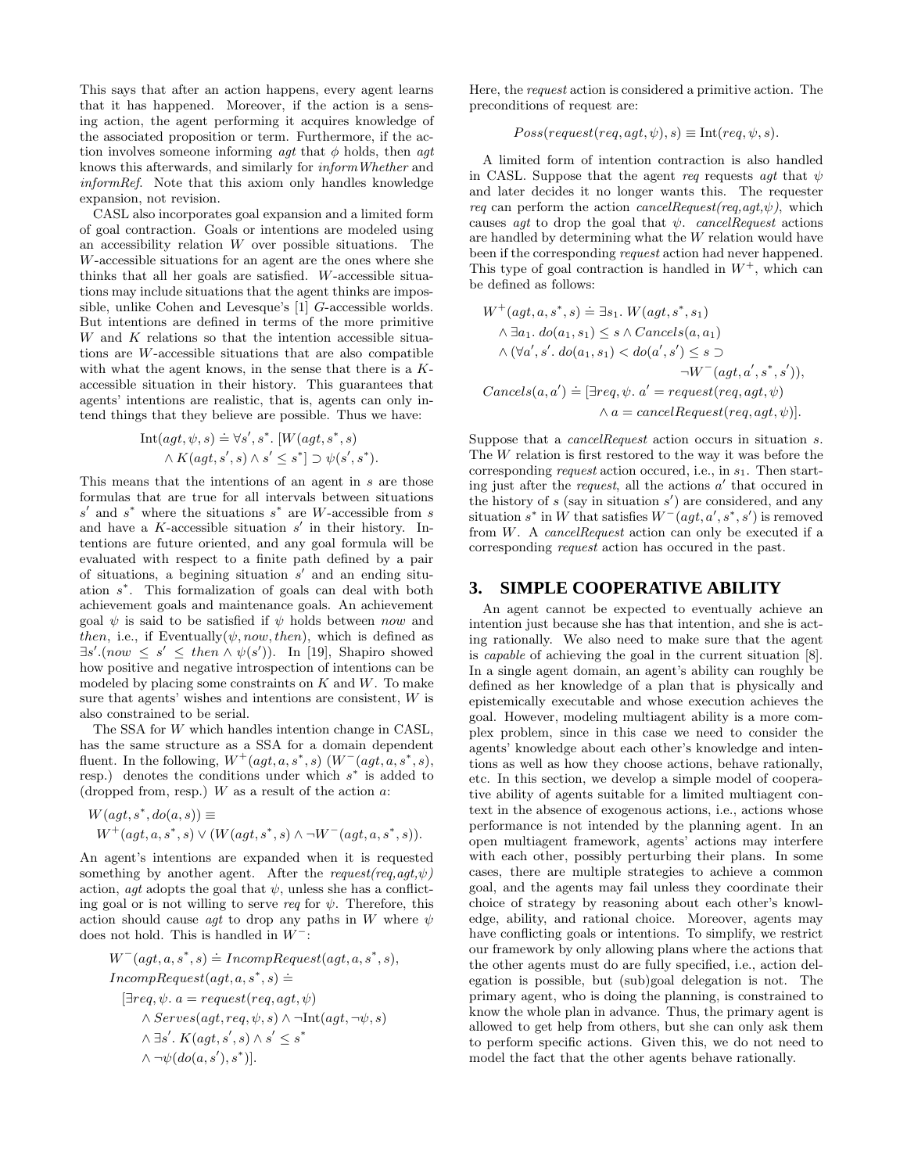This says that after an action happens, every agent learns that it has happened. Moreover, if the action is a sensing action, the agent performing it acquires knowledge of the associated proposition or term. Furthermore, if the action involves someone informing *agt* that  $\phi$  holds, then *agt* knows this afterwards, and similarly for informWhether and informRef. Note that this axiom only handles knowledge expansion, not revision.

CASL also incorporates goal expansion and a limited form of goal contraction. Goals or intentions are modeled using an accessibility relation  $W$  over possible situations. The W-accessible situations for an agent are the ones where she thinks that all her goals are satisfied. W-accessible situations may include situations that the agent thinks are impossible, unlike Cohen and Levesque's [1] G-accessible worlds. But intentions are defined in terms of the more primitive  $W$  and  $K$  relations so that the intention accessible situations are W-accessible situations that are also compatible with what the agent knows, in the sense that there is a Kaccessible situation in their history. This guarantees that agents' intentions are realistic, that is, agents can only intend things that they believe are possible. Thus we have:

$$
Int(agt, \psi, s) \doteq \forall s', s^*. [W(agt, s^*, s)
$$

$$
\land K(agt, s', s) \land s' \leq s^*] \supset \psi(s', s^*).
$$

This means that the intentions of an agent in s are those formulas that are true for all intervals between situations  $s'$  and  $s^*$  where the situations  $s^*$  are W-accessible from  $s$ and have a K-accessible situation  $s'$  in their history. Intentions are future oriented, and any goal formula will be evaluated with respect to a finite path defined by a pair of situations, a begining situation  $s'$  and an ending situation  $s^*$ . This formalization of goals can deal with both achievement goals and maintenance goals. An achievement goal  $\psi$  is said to be satisfied if  $\psi$  holds between now and then, i.e., if Eventually( $\psi$ , now, then), which is defined as  $\exists s'.(now \leq s' \leq then \land \psi(s'))$ . In [19], Shapiro showed how positive and negative introspection of intentions can be modeled by placing some constraints on  $K$  and  $W$ . To make sure that agents' wishes and intentions are consistent, W is also constrained to be serial.

The SSA for W which handles intention change in CASL, has the same structure as a SSA for a domain dependent fluent. In the following,  $W^+(agt, a, s^*, s)$   $(W^-(agt, a, s^*, s),$ resp.) denotes the conditions under which  $s^*$  is added to (dropped from, resp.)  $W$  as a result of the action  $a$ :

$$
W(agt, s^*, do(a, s)) \equiv
$$
  
 
$$
W^+(agt, a, s^*, s) \vee (W(agt, s^*, s) \wedge \neg W^-(agt, a, s^*, s)).
$$

An agent's intentions are expanded when it is requested something by another agent. After the request(req,agt, $\psi$ ) action, *agt* adopts the goal that  $\psi$ , unless she has a conflicting goal or is not willing to serve req for  $\psi$ . Therefore, this action should cause *agt* to drop any paths in W where  $\psi$ does not hold. This is handled in W<sup>−</sup>:

$$
W^-(agt, a, s^*, s) \doteq IncompRequest(agt, a, s^*, s),
$$
  
 
$$
IncompRequest(agt, a, s^*, s) \doteq
$$
  
\n
$$
[\exists req, \psi. a = request(req,agt, \psi)
$$
  
\n
$$
\land \text{Serves}(agt, req, \psi, s) \land \neg \text{Int}(agt, \neg \psi, s)
$$
  
\n
$$
\land \exists s'. K(agt, s', s) \land s' \leq s^*
$$
  
\n
$$
\land \neg \psi(do(a, s'), s^*)].
$$

Here, the request action is considered a primitive action. The preconditions of request are:

$$
Poss(request(req,agt, \psi), s) \equiv Int(req, \psi, s).
$$

A limited form of intention contraction is also handled in CASL. Suppose that the agent req requests agt that  $\psi$ and later decides it no longer wants this. The requester req can perform the action cancelRequest(req, aqt, $\psi$ ), which causes *agt* to drop the goal that  $\psi$ . *cancelRequest* actions are handled by determining what the W relation would have been if the corresponding request action had never happened. This type of goal contraction is handled in  $W^+$ , which can be defined as follows:

$$
W^+(agt, a, s^*, s) \doteq \exists s_1. W(agt, s^*, s_1)
$$
  
\n
$$
\wedge \exists a_1. do(a_1, s_1) \le s \wedge Cancels(a, a_1)
$$
  
\n
$$
\wedge (\forall a', s'. do(a_1, s_1) < do(a', s') \le s \supset
$$
  
\n
$$
\neg W^-(agt, a', s^*, s')),
$$
  
\n
$$
Cancels(a, a') \doteq [\exists req, \psi \cdot a' = request(req, agt, \psi)]
$$
  
\n
$$
\wedge a = cancelRequest(req, agt, \psi)].
$$

Suppose that a cancelRequest action occurs in situation s. The W relation is first restored to the way it was before the corresponding request action occured, i.e., in  $s<sub>1</sub>$ . Then starting just after the *request*, all the actions  $a'$  that occured in the history of  $s$  (say in situation  $s'$ ) are considered, and any situation  $s^*$  in W that satisfies  $W^-(agt, a', s^*, s')$  is removed from W. A cancelRequest action can only be executed if a corresponding request action has occured in the past.

#### **3. SIMPLE COOPERATIVE ABILITY**

An agent cannot be expected to eventually achieve an intention just because she has that intention, and she is acting rationally. We also need to make sure that the agent is capable of achieving the goal in the current situation [8]. In a single agent domain, an agent's ability can roughly be defined as her knowledge of a plan that is physically and epistemically executable and whose execution achieves the goal. However, modeling multiagent ability is a more complex problem, since in this case we need to consider the agents' knowledge about each other's knowledge and intentions as well as how they choose actions, behave rationally, etc. In this section, we develop a simple model of cooperative ability of agents suitable for a limited multiagent context in the absence of exogenous actions, i.e., actions whose performance is not intended by the planning agent. In an open multiagent framework, agents' actions may interfere with each other, possibly perturbing their plans. In some cases, there are multiple strategies to achieve a common goal, and the agents may fail unless they coordinate their choice of strategy by reasoning about each other's knowledge, ability, and rational choice. Moreover, agents may have conflicting goals or intentions. To simplify, we restrict our framework by only allowing plans where the actions that the other agents must do are fully specified, i.e., action delegation is possible, but (sub)goal delegation is not. The primary agent, who is doing the planning, is constrained to know the whole plan in advance. Thus, the primary agent is allowed to get help from others, but she can only ask them to perform specific actions. Given this, we do not need to model the fact that the other agents behave rationally.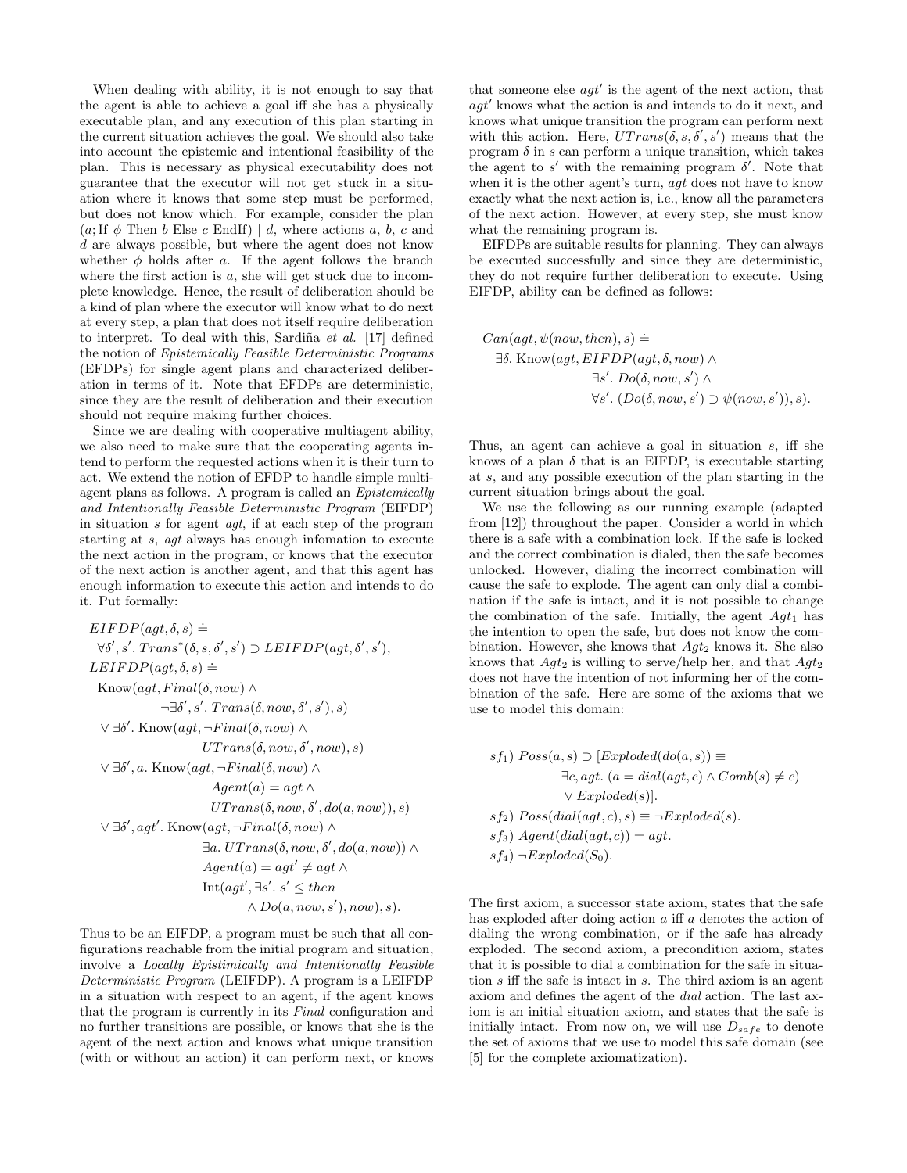When dealing with ability, it is not enough to say that the agent is able to achieve a goal iff she has a physically executable plan, and any execution of this plan starting in the current situation achieves the goal. We should also take into account the epistemic and intentional feasibility of the plan. This is necessary as physical executability does not guarantee that the executor will not get stuck in a situation where it knows that some step must be performed, but does not know which. For example, consider the plan  $(a; \text{If } \phi \text{ Then } b \text{ Else } c \text{ EndIf} \mid d, \text{ where actions } a, b, c \text{ and }$ d are always possible, but where the agent does not know whether  $\phi$  holds after a. If the agent follows the branch where the first action is  $a$ , she will get stuck due to incomplete knowledge. Hence, the result of deliberation should be a kind of plan where the executor will know what to do next at every step, a plan that does not itself require deliberation to interpret. To deal with this, Sardiña  $\it{et~al.}$  [17] defined the notion of Epistemically Feasible Deterministic Programs (EFDPs) for single agent plans and characterized deliberation in terms of it. Note that EFDPs are deterministic, since they are the result of deliberation and their execution should not require making further choices.

Since we are dealing with cooperative multiagent ability, we also need to make sure that the cooperating agents intend to perform the requested actions when it is their turn to act. We extend the notion of EFDP to handle simple multiagent plans as follows. A program is called an Epistemically and Intentionally Feasible Deterministic Program (EIFDP) in situation s for agent agt, if at each step of the program starting at s, agt always has enough infomation to execute the next action in the program, or knows that the executor of the next action is another agent, and that this agent has enough information to execute this action and intends to do it. Put formally:

 $EIFDP(agt, \delta, s) \doteq$  $\forall \delta', s'. Trans^*(\delta, s, \delta', s') \supset LEIFDP(agt, \delta', s'),$  $LEIFDP(agt, \delta, s) =$ Know $(aqt,Final(\delta, now) \wedge$  $\neg \exists \delta', s'. Trans(\delta, now, \delta', s'), s)$  $\vee \exists \delta'$ . Know $(agt, \neg Final(\delta, now) \wedge$  $UTrans(\delta, now, \delta', now), s)$  $\vee \exists \delta', a$ . Know $(agt, \neg Final(\delta, now) \wedge$  $Agent(a) = aqt \wedge$  $UTrans(\delta, now, \delta', do(a, now)), s)$  $\vee \exists \delta', agt'$ . Know $(agt, \neg Final(\delta, now) \wedge$  $\exists a. UTrans(\delta, now, \delta', do(a, now)) \wedge$  $Agent(a) = agt' \neq agt \wedge$ Int $(agt', \exists s'. s' \leq then$  $\wedge Do(a, now, s'), now), s).$ 

Thus to be an EIFDP, a program must be such that all configurations reachable from the initial program and situation, involve a Locally Epistimically and Intentionally Feasible Deterministic Program (LEIFDP). A program is a LEIFDP in a situation with respect to an agent, if the agent knows that the program is currently in its Final configuration and no further transitions are possible, or knows that she is the agent of the next action and knows what unique transition (with or without an action) it can perform next, or knows

that someone else  $agt'$  is the agent of the next action, that  $agt'$  knows what the action is and intends to do it next, and knows what unique transition the program can perform next with this action. Here,  $UTrans(\delta, s, \delta', s')$  means that the program  $\delta$  in s can perform a unique transition, which takes the agent to s' with the remaining program  $\delta'$ . Note that when it is the other agent's turn, *agt* does not have to know exactly what the next action is, i.e., know all the parameters of the next action. However, at every step, she must know what the remaining program is.

EIFDPs are suitable results for planning. They can always be executed successfully and since they are deterministic, they do not require further deliberation to execute. Using EIFDP, ability can be defined as follows:

$$
Can(agt, \psi(now, then), s) \doteq
$$
  
\n
$$
\exists \delta. \text{Know}(agt, EIFDP(agt, \delta, now) \land \exists s'. \text{ } Do(\delta, now, s') \land
$$
  
\n
$$
\forall s'. (Do(\delta, now, s') \supset \psi(now, s')), s).
$$

Thus, an agent can achieve a goal in situation s, iff she knows of a plan  $\delta$  that is an EIFDP, is executable starting at s, and any possible execution of the plan starting in the current situation brings about the goal.

We use the following as our running example (adapted from [12]) throughout the paper. Consider a world in which there is a safe with a combination lock. If the safe is locked and the correct combination is dialed, then the safe becomes unlocked. However, dialing the incorrect combination will cause the safe to explode. The agent can only dial a combination if the safe is intact, and it is not possible to change the combination of the safe. Initially, the agent  $Agt<sub>1</sub>$  has the intention to open the safe, but does not know the combination. However, she knows that  $Agt_2$  knows it. She also knows that  $Agt_2$  is willing to serve/help her, and that  $Agt_2$ does not have the intention of not informing her of the combination of the safe. Here are some of the axioms that we use to model this domain:

$$
sf_1) \; Poss(a, s) \supset [Exploaded(do(a, s))] \equiv
$$
  
\n
$$
\exists c, agt. (a = dial(agt, c) \land Comb(s) \neq c)
$$
  
\n
$$
\lor Exploded(s)].
$$
  
\n
$$
sf_2) \; Poss(dial(agt, c), s) \equiv \neg Exploded(s).
$$
  
\n
$$
sf_3) \; Agent(dial(agt, c)) = agt.
$$
  
\n
$$
sf_4) \; \neg Exploded(S_0).
$$

The first axiom, a successor state axiom, states that the safe has exploded after doing action a iff a denotes the action of dialing the wrong combination, or if the safe has already exploded. The second axiom, a precondition axiom, states that it is possible to dial a combination for the safe in situation s iff the safe is intact in s. The third axiom is an agent axiom and defines the agent of the dial action. The last axiom is an initial situation axiom, and states that the safe is initially intact. From now on, we will use  $D_{safe}$  to denote the set of axioms that we use to model this safe domain (see [5] for the complete axiomatization).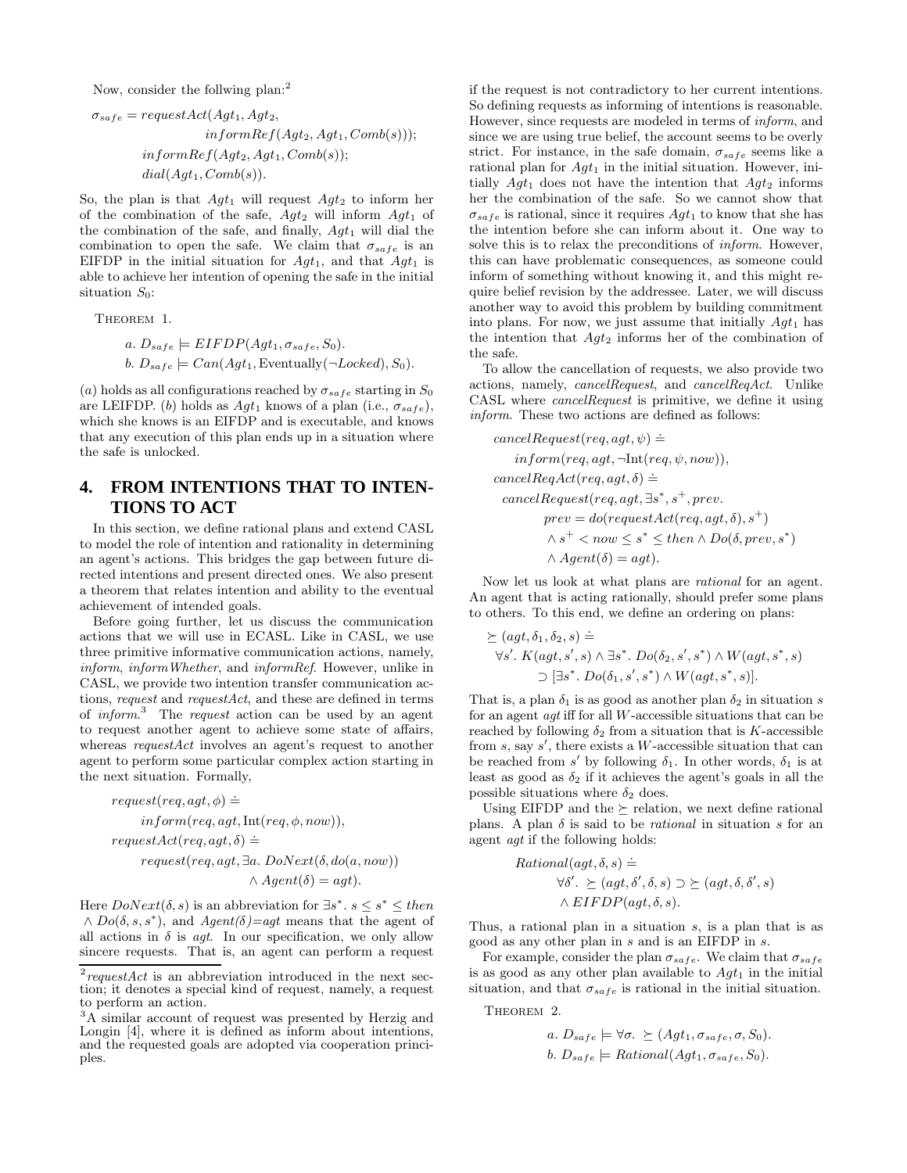Now, consider the follwing plan:<sup>2</sup>

$$
\sigma_{safe} = requestAct(Agt_1, Agt_2, \\ informRef(Agt_2, Agt_1, Comb(s)));
$$

$$
informRef(Agt_2, Agt_1, Comb(s));
$$

$$
dial(Agt_1, Comb(s)).
$$

So, the plan is that  $Agt_1$  will request  $Agt_2$  to inform her of the combination of the safe,  $Agt_2$  will inform  $Agt_1$  of the combination of the safe, and finally,  $Agt_1$  will dial the combination to open the safe. We claim that  $\sigma_{safe}$  is an EIFDP in the initial situation for  $Agt_1$ , and that  $Agt_1$  is able to achieve her intention of opening the safe in the initial situation  $S_0$ :

THEOREM 1.

a. 
$$
D_{safe} \models EIFDP(Agt_1, \sigma_{safe}, S_0)
$$
.  
b.  $D_{safe} \models Can(Agt_1, Eventually(\neg Locked), S_0)$ .

(a) holds as all configurations reached by  $\sigma_{safe}$  starting in  $S_0$ are LEIFDP. (b) holds as  $Agt_1$  knows of a plan (i.e.,  $\sigma_{safe}$ ), which she knows is an EIFDP and is executable, and knows that any execution of this plan ends up in a situation where the safe is unlocked.

# **4. FROM INTENTIONS THAT TO INTEN-TIONS TO ACT**

In this section, we define rational plans and extend CASL to model the role of intention and rationality in determining an agent's actions. This bridges the gap between future directed intentions and present directed ones. We also present a theorem that relates intention and ability to the eventual achievement of intended goals.

Before going further, let us discuss the communication actions that we will use in ECASL. Like in CASL, we use three primitive informative communication actions, namely, inform, informWhether, and informRef. However, unlike in CASL, we provide two intention transfer communication actions, request and requestAct, and these are defined in terms of inform. <sup>3</sup> The request action can be used by an agent to request another agent to achieve some state of affairs, whereas requestAct involves an agent's request to another agent to perform some particular complex action starting in the next situation. Formally,

$$
request(req,agt, \phi) \doteq
$$
  
\n
$$
inform(req,agt, Int(req, \phi, now)),
$$
  
\n
$$
requestAct(req,agt, \exists a. \, DoNext(\delta, do(a, now))
$$
  
\n
$$
\land Agent(\delta) = agt).
$$

Here  $DoNext(\delta, s)$  is an abbreviation for  $\exists s^* \, . \, s \leq s^* \leq then$  $\wedge Do(\delta, s, s^*)$ , and  $Agent(\delta)=agt$  means that the agent of all actions in  $\delta$  is *agt*. In our specification, we only allow sincere requests. That is, an agent can perform a request if the request is not contradictory to her current intentions. So defining requests as informing of intentions is reasonable. However, since requests are modeled in terms of inform, and since we are using true belief, the account seems to be overly strict. For instance, in the safe domain,  $\sigma_{safe}$  seems like a rational plan for  $Agt_1$  in the initial situation. However, initially  $Agt_1$  does not have the intention that  $Agt_2$  informs her the combination of the safe. So we cannot show that  $\sigma_{safe}$  is rational, since it requires  $Agt_1$  to know that she has the intention before she can inform about it. One way to solve this is to relax the preconditions of inform. However, this can have problematic consequences, as someone could inform of something without knowing it, and this might require belief revision by the addressee. Later, we will discuss another way to avoid this problem by building commitment into plans. For now, we just assume that initially  $Agt_1$  has the intention that  $Agt_2$  informs her of the combination of the safe.

To allow the cancellation of requests, we also provide two actions, namely, cancelRequest, and cancelReqAct. Unlike CASL where cancelRequest is primitive, we define it using inform. These two actions are defined as follows:

$$
cancelRequest(req,agt, \psi) \doteq
$$
  
\n
$$
inform(req,agt, \neg Int(req, \psi, now)),
$$
  
\n
$$
cancelRequest(req,agt, \delta) \doteq
$$
  
\n
$$
cancelRequest(req,agt, \exists s^*, s^+, prev.
$$
  
\n
$$
prev = do(requestAct(req,agt, \delta), s^+)
$$
  
\n
$$
\land s^+ < now \leq s^* \leq then \land Do(\delta, prev, s^*)
$$
  
\n
$$
\land Agent(\delta) = agt).
$$

Now let us look at what plans are rational for an agent. An agent that is acting rationally, should prefer some plans to others. To this end, we define an ordering on plans:

$$
\geq (agt, \delta_1, \delta_2, s) =
$$
  
\n
$$
\forall s'. K(agt, s', s) \land \exists s^*. Do(\delta_2, s', s^*) \land W(agt, s^*, s)
$$
  
\n
$$
\supset [\exists s^*. Do(\delta_1, s', s^*) \land W(agt, s^*, s)].
$$

That is, a plan  $\delta_1$  is as good as another plan  $\delta_2$  in situation s for an agent agt iff for all W-accessible situations that can be reached by following  $\delta_2$  from a situation that is K-accessible from  $s$ , say  $s'$ , there exists a W-accessible situation that can be reached from s' by following  $\delta_1$ . In other words,  $\delta_1$  is at least as good as  $\delta_2$  if it achieves the agent's goals in all the possible situations where  $\delta_2$  does.

Using EIFDP and the  $\succeq$  relation, we next define rational plans. A plan  $\delta$  is said to be *rational* in situation s for an agent agt if the following holds:

$$
Rational(agt, \delta, s) \doteq
$$
  

$$
\forall \delta'. \ge (agt, \delta', \delta, s) \supset \ge (agt, \delta, \delta', s)
$$
  

$$
\wedge EIFDP(agt, \delta, s).
$$

Thus, a rational plan in a situation s, is a plan that is as good as any other plan in s and is an EIFDP in s.

For example, consider the plan  $\sigma_{safe}$ . We claim that  $\sigma_{safe}$ is as good as any other plan available to  $Agt<sub>1</sub>$  in the initial situation, and that  $\sigma_{safe}$  is rational in the initial situation.

THEOREM 2.

a. 
$$
D_{safe} \models \forall \sigma. \ge (Agt_1, \sigma_{safe}, \sigma, S_0).
$$
  
b.  $D_{safe} \models Rational(Agt_1, \sigma_{safe}, S_0).$ 

 $2$ requestAct is an abbreviation introduced in the next section; it denotes a special kind of request, namely, a request to perform an action.

<sup>3</sup>A similar account of request was presented by Herzig and Longin [4], where it is defined as inform about intentions, and the requested goals are adopted via cooperation principles.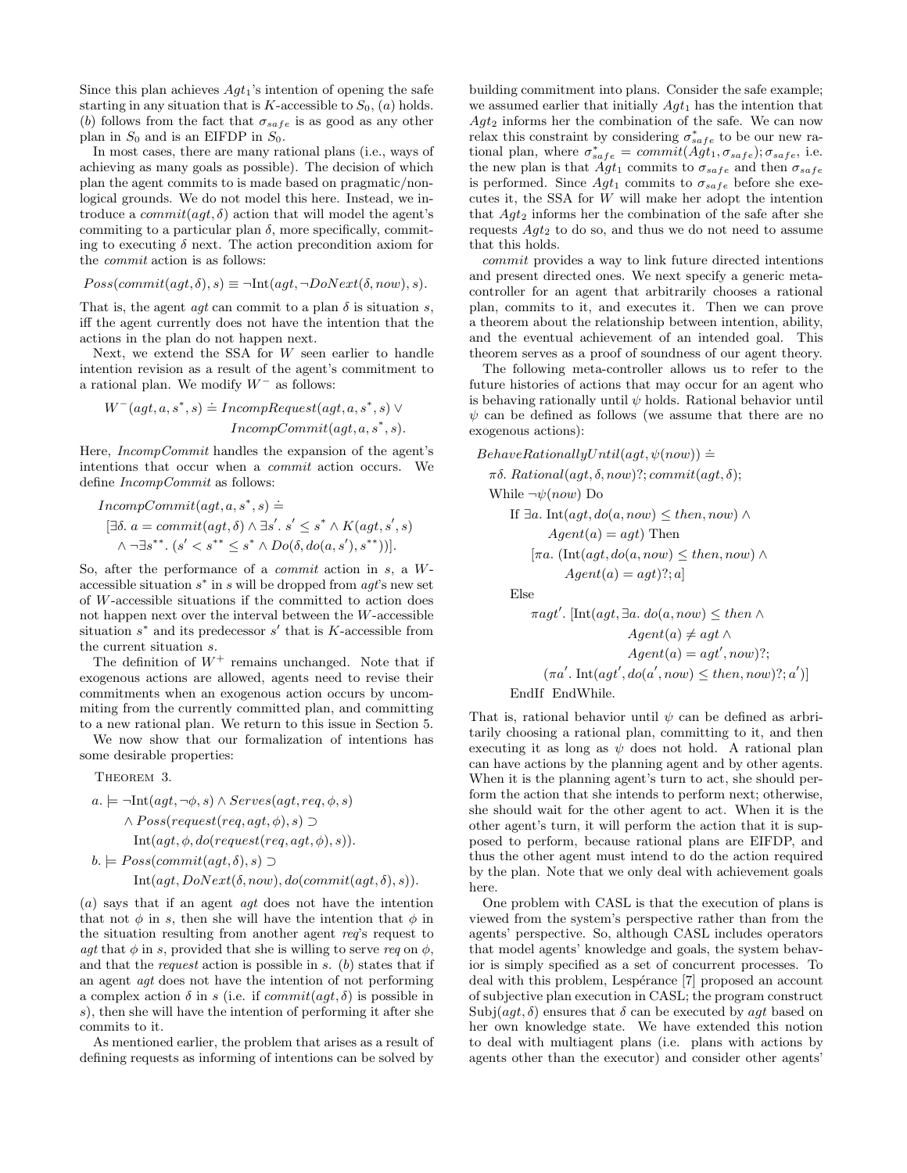Since this plan achieves  $Agt_1$ 's intention of opening the safe starting in any situation that is  $K$ -accessible to  $S_0$ ,  $(a)$  holds. (b) follows from the fact that  $\sigma_{safe}$  is as good as any other plan in  $S_0$  and is an EIFDP in  $S_0$ .

In most cases, there are many rational plans (i.e., ways of achieving as many goals as possible). The decision of which plan the agent commits to is made based on pragmatic/nonlogical grounds. We do not model this here. Instead, we introduce a  $commit(agt, \delta)$  action that will model the agent's commiting to a particular plan  $\delta$ , more specifically, commiting to executing  $\delta$  next. The action precondition axiom for the commit action is as follows:

$$
Poss(commit(agt, \delta), s) \equiv \neg Int(agt, \neg DoNext(\delta, now), s).
$$

That is, the agent *agt* can commit to a plan  $\delta$  is situation s, iff the agent currently does not have the intention that the actions in the plan do not happen next.

Next, we extend the SSA for W seen earlier to handle intention revision as a result of the agent's commitment to a rational plan. We modify  $W^-$  as follows:

$$
W^-(agt, a, s^*, s) \doteq IncompRequest(agt, a, s^*, s) \vee
$$

$$
IncompCommit(agt, a, s^*, s).
$$

Here, IncompCommit handles the expansion of the agent's intentions that occur when a commit action occurs. We define IncompCommit as follows:

$$
IncompCommit(agt, a, s^*, s) \doteq
$$
  

$$
[\exists \delta. a = commit(agt, \delta) \land \exists s'. s' \le s^* \land K(agt, s', s)
$$
  

$$
\land \neg \exists s^{**}. (s' < s^{**} \le s^* \land Do(\delta, do(a, s'), s^{**}))].
$$

So, after the performance of a *commit* action in  $s$ , a  $W$ - $\alpha$ cessible situation  $s^*$  in s will be dropped from  $agt$ 's new set of W-accessible situations if the committed to action does not happen next over the interval between the  $W\text{-}accessible$ situation  $s^*$  and its predecessor  $s'$  that is K-accessible from the current situation s.

The definition of  $W^+$  remains unchanged. Note that if exogenous actions are allowed, agents need to revise their commitments when an exogenous action occurs by uncommiting from the currently committed plan, and committing to a new rational plan. We return to this issue in Section 5.

We now show that our formalization of intentions has some desirable properties:

THEOREM 3.

$$
a. \models \neg Int(agt, \neg \phi, s) \land Serves(agt, req, \phi, s)
$$

$$
\land Poss(request(req,agt, \phi), s) \supset
$$

$$
Int(agt, \phi, do(request(req,agt, \phi), s)).
$$

$$
b. \models Poss(commit(agt, \delta), s) \supset
$$

 $Int(agt, DoNext(\delta, now), do(commit(agt, \delta), s)).$ 

(a) says that if an agent agt does not have the intention that not  $\phi$  in s, then she will have the intention that  $\phi$  in the situation resulting from another agent req's request to agt that  $\phi$  in s, provided that she is willing to serve req on  $\phi$ , and that the *request* action is possible in  $s$ . (b) states that if an agent agt does not have the intention of not performing a complex action  $\delta$  in s (i.e. if  $commit(agt, \delta)$  is possible in s), then she will have the intention of performing it after she commits to it.

As mentioned earlier, the problem that arises as a result of defining requests as informing of intentions can be solved by

building commitment into plans. Consider the safe example; we assumed earlier that initially  $Aqt_1$  has the intention that  $Aqt_2$  informs her the combination of the safe. We can now relax this constraint by considering  $\sigma_{safe}^*$  to be our new rational plan, where  $\sigma_{safe}^* = commit(Agt_1, \sigma_{safe}); \sigma_{safe}$ , i.e. the new plan is that  $Agt_1$  commits to  $\sigma_{safe}$  and then  $\sigma_{safe}$ is performed. Since  $Agt_1$  commits to  $\sigma_{safe}$  before she executes it, the SSA for W will make her adopt the intention that  $Agt_2$  informs her the combination of the safe after she requests  $Agt_2$  to do so, and thus we do not need to assume that this holds.

commit provides a way to link future directed intentions and present directed ones. We next specify a generic metacontroller for an agent that arbitrarily chooses a rational plan, commits to it, and executes it. Then we can prove a theorem about the relationship between intention, ability, and the eventual achievement of an intended goal. This theorem serves as a proof of soundness of our agent theory.

The following meta-controller allows us to refer to the future histories of actions that may occur for an agent who is behaving rationally until  $\psi$  holds. Rational behavior until  $\psi$  can be defined as follows (we assume that there are no exogenous actions):

 $Behaviorally Until(agt, \psi(now)) \doteq$ πδ. Rational(agt,δ,now)?; commit(agt,δ); While  $\neg\psi(now)$  Do If ∃a. Int $(agt, do(a, now) ≤ then, now) ∧$  $Agent(a) = aqt$  Then  $[\pi a. (\text{Int}(agt, do(a, now) \leq then, now) \wedge$  $Agent(a) = agt$ ?; a] Else  $\pi a g t'$ . [Int(agt, ∃a. do(a, now)  $\leq$  then  $\wedge$  $Agent(a) \neq agt \wedge$  $Agent(a) = agt', now$ ?;  $(\pi a'. Int(agt', do(a', now) \leq then, now)?; a')$ EndIf EndWhile.

That is, rational behavior until  $\psi$  can be defined as arbritarily choosing a rational plan, committing to it, and then executing it as long as  $\psi$  does not hold. A rational plan can have actions by the planning agent and by other agents. When it is the planning agent's turn to act, she should perform the action that she intends to perform next; otherwise, she should wait for the other agent to act. When it is the other agent's turn, it will perform the action that it is supposed to perform, because rational plans are EIFDP, and thus the other agent must intend to do the action required by the plan. Note that we only deal with achievement goals here.

One problem with CASL is that the execution of plans is viewed from the system's perspective rather than from the agents' perspective. So, although CASL includes operators that model agents' knowledge and goals, the system behavior is simply specified as a set of concurrent processes. To deal with this problem, Lespérance [7] proposed an account of subjective plan execution in CASL; the program construct Subj $(agt, \delta)$  ensures that  $\delta$  can be executed by agt based on her own knowledge state. We have extended this notion to deal with multiagent plans (i.e. plans with actions by agents other than the executor) and consider other agents'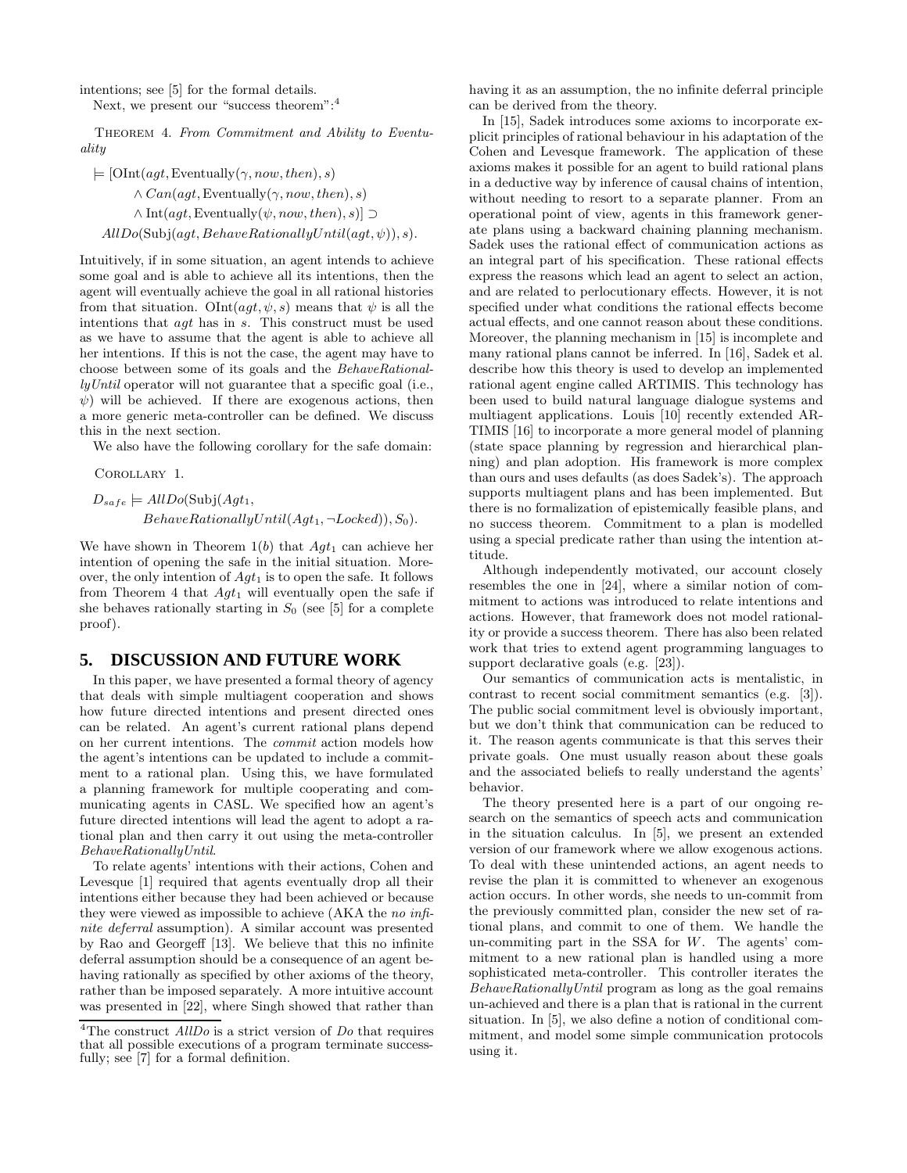intentions; see [5] for the formal details.

Next, we present our "success theorem":<sup>4</sup>

THEOREM 4. From Commitment and Ability to Eventuality

$$
\models [OInt(agt, Eventually(\gamma, now, then), s) \land Can(agt, Eventually(\gamma, now, then), s) \land Int(agt, Eventually(\psi, now, then), s)] \supset
$$
  
 
$$
AllDo(Subj(agt, BehaveRationallyUntil(agt, \psi)), s).
$$

Intuitively, if in some situation, an agent intends to achieve some goal and is able to achieve all its intentions, then the agent will eventually achieve the goal in all rational histories from that situation. OInt $(agt, \psi, s)$  means that  $\psi$  is all the intentions that agt has in s. This construct must be used as we have to assume that the agent is able to achieve all her intentions. If this is not the case, the agent may have to choose between some of its goals and the BehaveRationallyUntil operator will not guarantee that a specific goal (i.e.,  $\psi$ ) will be achieved. If there are exogenous actions, then a more generic meta-controller can be defined. We discuss this in the next section.

We also have the following corollary for the safe domain:

Corollary 1.

$$
D_{safe} \models AllDo(Subj(Agt_1,BehaveRationallyUntil(Agt_1, \neg Locked)), S_0).
$$

We have shown in Theorem  $1(b)$  that  $Agt_1$  can achieve her intention of opening the safe in the initial situation. Moreover, the only intention of  $Agt_1$  is to open the safe. It follows from Theorem 4 that  $Agt_1$  will eventually open the safe if she behaves rationally starting in  $S_0$  (see [5] for a complete proof).

#### **5. DISCUSSION AND FUTURE WORK**

In this paper, we have presented a formal theory of agency that deals with simple multiagent cooperation and shows how future directed intentions and present directed ones can be related. An agent's current rational plans depend on her current intentions. The commit action models how the agent's intentions can be updated to include a commitment to a rational plan. Using this, we have formulated a planning framework for multiple cooperating and communicating agents in CASL. We specified how an agent's future directed intentions will lead the agent to adopt a rational plan and then carry it out using the meta-controller BehaveRationallyUntil.

To relate agents' intentions with their actions, Cohen and Levesque [1] required that agents eventually drop all their intentions either because they had been achieved or because they were viewed as impossible to achieve (AKA the no infinite deferral assumption). A similar account was presented by Rao and Georgeff [13]. We believe that this no infinite deferral assumption should be a consequence of an agent behaving rationally as specified by other axioms of the theory, rather than be imposed separately. A more intuitive account was presented in [22], where Singh showed that rather than

having it as an assumption, the no infinite deferral principle can be derived from the theory.

In [15], Sadek introduces some axioms to incorporate explicit principles of rational behaviour in his adaptation of the Cohen and Levesque framework. The application of these axioms makes it possible for an agent to build rational plans in a deductive way by inference of causal chains of intention, without needing to resort to a separate planner. From an operational point of view, agents in this framework generate plans using a backward chaining planning mechanism. Sadek uses the rational effect of communication actions as an integral part of his specification. These rational effects express the reasons which lead an agent to select an action, and are related to perlocutionary effects. However, it is not specified under what conditions the rational effects become actual effects, and one cannot reason about these conditions. Moreover, the planning mechanism in [15] is incomplete and many rational plans cannot be inferred. In [16], Sadek et al. describe how this theory is used to develop an implemented rational agent engine called ARTIMIS. This technology has been used to build natural language dialogue systems and multiagent applications. Louis [10] recently extended AR-TIMIS [16] to incorporate a more general model of planning (state space planning by regression and hierarchical planning) and plan adoption. His framework is more complex than ours and uses defaults (as does Sadek's). The approach supports multiagent plans and has been implemented. But there is no formalization of epistemically feasible plans, and no success theorem. Commitment to a plan is modelled using a special predicate rather than using the intention attitude.

Although independently motivated, our account closely resembles the one in [24], where a similar notion of commitment to actions was introduced to relate intentions and actions. However, that framework does not model rationality or provide a success theorem. There has also been related work that tries to extend agent programming languages to support declarative goals (e.g. [23]).

Our semantics of communication acts is mentalistic, in contrast to recent social commitment semantics (e.g. [3]). The public social commitment level is obviously important, but we don't think that communication can be reduced to it. The reason agents communicate is that this serves their private goals. One must usually reason about these goals and the associated beliefs to really understand the agents' behavior.

The theory presented here is a part of our ongoing research on the semantics of speech acts and communication in the situation calculus. In [5], we present an extended version of our framework where we allow exogenous actions. To deal with these unintended actions, an agent needs to revise the plan it is committed to whenever an exogenous action occurs. In other words, she needs to un-commit from the previously committed plan, consider the new set of rational plans, and commit to one of them. We handle the un-commiting part in the SSA for  $W$ . The agents' commitment to a new rational plan is handled using a more sophisticated meta-controller. This controller iterates the BehaveRationallyUntil program as long as the goal remains un-achieved and there is a plan that is rational in the current situation. In [5], we also define a notion of conditional commitment, and model some simple communication protocols using it.

<sup>&</sup>lt;sup>4</sup>The construct  $AllDo$  is a strict version of  $Do$  that requires that all possible executions of a program terminate successfully; see [7] for a formal definition.